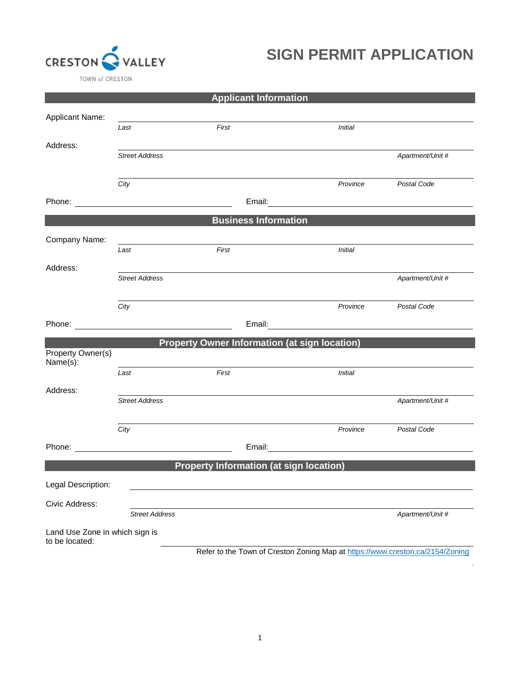

## **SIGN PERMIT APPLICATION**

|                                                  |                       | <b>Applicant Information</b>                         |                                                                                                                      |                  |
|--------------------------------------------------|-----------------------|------------------------------------------------------|----------------------------------------------------------------------------------------------------------------------|------------------|
| <b>Applicant Name:</b>                           |                       |                                                      |                                                                                                                      |                  |
|                                                  | Last                  | First                                                | <b>Initial</b>                                                                                                       |                  |
| Address:                                         |                       |                                                      |                                                                                                                      |                  |
|                                                  | <b>Street Address</b> |                                                      |                                                                                                                      | Apartment/Unit # |
|                                                  | City                  |                                                      | Province                                                                                                             | Postal Code      |
|                                                  |                       |                                                      |                                                                                                                      |                  |
|                                                  |                       | <b>Business Information</b>                          |                                                                                                                      |                  |
| Company Name:                                    |                       |                                                      |                                                                                                                      |                  |
|                                                  | Last                  | First                                                | <b>Initial</b>                                                                                                       |                  |
| Address:                                         | <b>Street Address</b> |                                                      |                                                                                                                      | Apartment/Unit # |
|                                                  | City                  |                                                      | Province                                                                                                             | Postal Code      |
|                                                  |                       |                                                      | Email: <u>______________________________</u>                                                                         |                  |
|                                                  |                       | <b>Property Owner Information (at sign location)</b> |                                                                                                                      |                  |
| Property Owner(s)<br>Name(s):                    |                       |                                                      |                                                                                                                      |                  |
|                                                  | Last                  | First                                                | <b>Initial</b>                                                                                                       |                  |
| Address:                                         |                       |                                                      |                                                                                                                      |                  |
|                                                  | <b>Street Address</b> |                                                      |                                                                                                                      | Apartment/Unit # |
|                                                  | City                  |                                                      | Province                                                                                                             | Postal Code      |
|                                                  |                       | Email:                                               | <u> 1980 - Jan Stein Stein Stein Stein Stein Stein Stein Stein Stein Stein Stein Stein Stein Stein Stein Stein S</u> |                  |
|                                                  |                       | <b>Property Information (at sign location)</b>       |                                                                                                                      |                  |
| Legal Description:                               |                       |                                                      |                                                                                                                      |                  |
| Civic Address:                                   |                       |                                                      |                                                                                                                      |                  |
|                                                  | <b>Street Address</b> |                                                      |                                                                                                                      | Apartment/Unit # |
| Land Use Zone in which sign is<br>to be located: |                       |                                                      |                                                                                                                      |                  |

Refer to the Town of Creston Zoning Map at<https://www.creston.ca/2154/Zoning>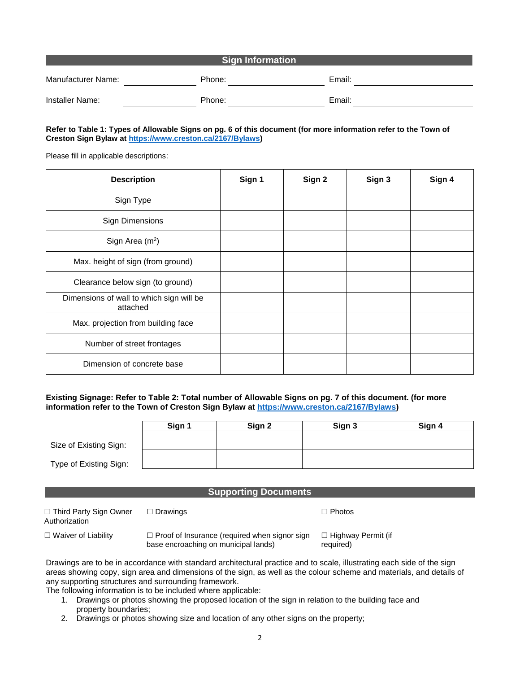| <b>Sign Information</b> |        |        |  |  |
|-------------------------|--------|--------|--|--|
| Manufacturer Name:      | Phone: | Email: |  |  |
| Installer Name:         | Phone: | Email: |  |  |

#### **Refer to Table 1: Types of Allowable Signs on pg. 6 of this document (for more information refer to the Town of Creston Sign Bylaw a[t https://www.creston.ca/2167/Bylaws\)](https://www.creston.ca/2167/Bylaws)**

Please fill in applicable descriptions:

| <b>Description</b>                                   | Sign 1 | Sign 2 | Sign 3 | Sign 4 |
|------------------------------------------------------|--------|--------|--------|--------|
| Sign Type                                            |        |        |        |        |
| <b>Sign Dimensions</b>                               |        |        |        |        |
| Sign Area $(m^2)$                                    |        |        |        |        |
| Max. height of sign (from ground)                    |        |        |        |        |
| Clearance below sign (to ground)                     |        |        |        |        |
| Dimensions of wall to which sign will be<br>attached |        |        |        |        |
| Max. projection from building face                   |        |        |        |        |
| Number of street frontages                           |        |        |        |        |
| Dimension of concrete base                           |        |        |        |        |

**Existing Signage: Refer to Table 2: Total number of Allowable Signs on pg. 7 of this document. (for more information refer to the Town of Creston Sign Bylaw at [https://www.creston.ca/2167/Bylaws\)](https://www.creston.ca/2167/Bylaws)**

|                        | Sign 1 | Sign 2 | Sign 3 | Sign 4 |
|------------------------|--------|--------|--------|--------|
| Size of Existing Sign: |        |        |        |        |
| Type of Existing Sign: |        |        |        |        |

#### **Supporting Documents**

| □ Third Party Sign Owner<br>Authorization | $\Box$ Drawings                                                                              | $\Box$ Photos                          |
|-------------------------------------------|----------------------------------------------------------------------------------------------|----------------------------------------|
| $\Box$ Waiver of Liability                | $\Box$ Proof of Insurance (required when signor sign<br>base encroaching on municipal lands) | $\Box$ Highway Permit (if<br>required) |

Drawings are to be in accordance with standard architectural practice and to scale, illustrating each side of the sign areas showing copy, sign area and dimensions of the sign, as well as the colour scheme and materials, and details of any supporting structures and surrounding framework.

The following information is to be included where applicable:

- 1. Drawings or photos showing the proposed location of the sign in relation to the building face and property boundaries;
- 2. Drawings or photos showing size and location of any other signs on the property;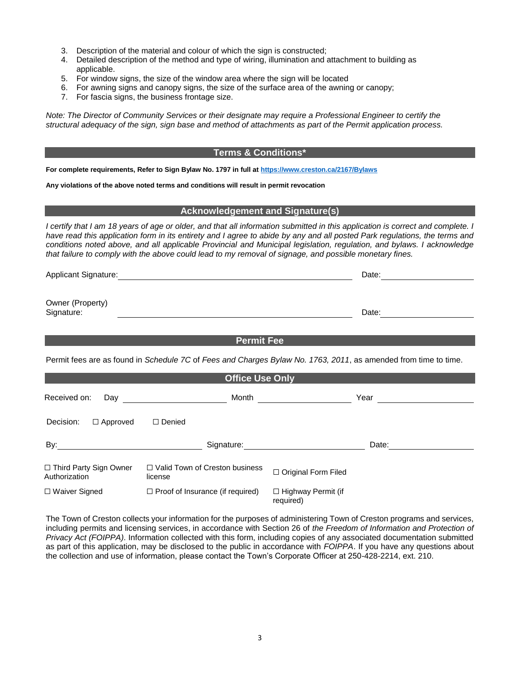- 3. Description of the material and colour of which the sign is constructed;
- 4. Detailed description of the method and type of wiring, illumination and attachment to building as applicable.
- 5. For window signs, the size of the window area where the sign will be located
- 6. For awning signs and canopy signs, the size of the surface area of the awning or canopy;
- 7. For fascia signs, the business frontage size.

*Note: The Director of Community Services or their designate may require a Professional Engineer to certify the structural adequacy of the sign, sign base and method of attachments as part of the Permit application process.*

#### **Terms & Conditions\***

**For complete requirements, Refer to Sign Bylaw No. 1797 in full at<https://www.creston.ca/2167/Bylaws>**

**Any violations of the above noted terms and conditions will result in permit revocation**

#### **Acknowledgement and Signature(s)**

*I certify that I am 18 years of age or older, and that all information submitted in this application is correct and complete. I have read this application form in its entirety and I agree to abide by any and all posted Park regulations, the terms and conditions noted above, and all applicable Provincial and Municipal legislation, regulation, and bylaws. I acknowledge that failure to comply with the above could lead to my removal of signage, and possible monetary fines.*

Applicant Signature: Date: Date: Date: Date: Date: Date: Date: Date: Date: Date: Date: Date: Date: Date: Date: Date: Date: Date: Date: Date: Date: Date: Date: Date: Date: Date: Date: Date: Date: Date: Date: Date: Date: Dat

Owner (Property) Signature: Date: Date: Date: Date: Date: Date: Date: Date: Date: Date: Date: Date: Date: Date: Date: Date: Date: Date: Date: Date: Date: Date: Date: Date: Date: Date: Date: Date: Date: Date: Date: Date: Date: Date: Date: D

**Permit Fee Permit Fee Permit Fee** Permit fees are as found in *Schedule 7C* of *Fees and Charges Bylaw No. 1763, 2011*, as amended from time to time. **Office Use Only** Received on: Day **Month** Month **Year** Year **Year** Decision: □ Approved □ Denied By: By: Signature: Signature: Date: Date: Date: ☐ Third Party Sign Owner Authorization □ Valid Town of Creston business<br>license □ Original Form Filed ☐ Waiver Signed ☐ Proof of Insurance (if required) ☐ Highway Permit (if

The Town of Creston collects your information for the purposes of administering Town of Creston programs and services, including permits and licensing services, in accordance with Section 26 of *the Freedom of Information and Protection of Privacy Act (FOIPPA)*. Information collected with this form, including copies of any associated documentation submitted as part of this application, may be disclosed to the public in accordance with *FOIPPA*. If you have any questions about the collection and use of information, please contact the Town's Corporate Officer at 250-428-2214, ext. 210.

required)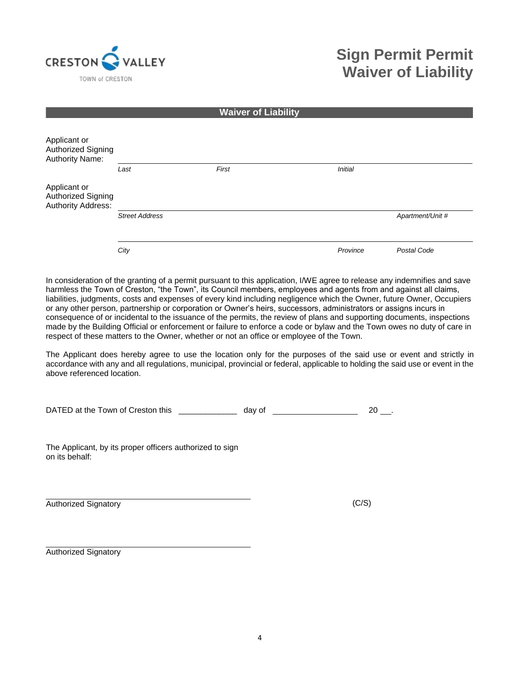

### **Sign Permit Permit Waiver of Liability**

|                                                                        |                       | <b>Waiver of Liability</b> |                |                  |
|------------------------------------------------------------------------|-----------------------|----------------------------|----------------|------------------|
| Applicant or<br>Authorized Signing<br>Authority Name:                  |                       |                            |                |                  |
|                                                                        | Last                  | First                      | <b>Initial</b> |                  |
| Applicant or<br><b>Authorized Signing</b><br><b>Authority Address:</b> |                       |                            |                |                  |
|                                                                        | <b>Street Address</b> |                            |                | Apartment/Unit # |
|                                                                        |                       |                            |                |                  |
|                                                                        | City                  |                            | Province       | Postal Code      |

In consideration of the granting of a permit pursuant to this application, I/WE agree to release any indemnifies and save harmless the Town of Creston, "the Town", its Council members, employees and agents from and against all claims, liabilities, judgments, costs and expenses of every kind including negligence which the Owner, future Owner, Occupiers or any other person, partnership or corporation or Owner's heirs, successors, administrators or assigns incurs in consequence of or incidental to the issuance of the permits, the review of plans and supporting documents, inspections made by the Building Official or enforcement or failure to enforce a code or bylaw and the Town owes no duty of care in respect of these matters to the Owner, whether or not an office or employee of the Town.

The Applicant does hereby agree to use the location only for the purposes of the said use or event and strictly in accordance with any and all regulations, municipal, provincial or federal, applicable to holding the said use or event in the above referenced location.

DATED at the Town of Creston this \_\_\_\_\_\_\_\_\_\_\_\_\_\_ day of \_\_\_\_\_\_\_\_\_\_\_\_\_\_\_\_\_\_\_\_\_\_\_ 20 \_\_\_.

The Applicant, by its proper officers authorized to sign on its behalf:

Authorized Signatory (C/S)

Authorized Signatory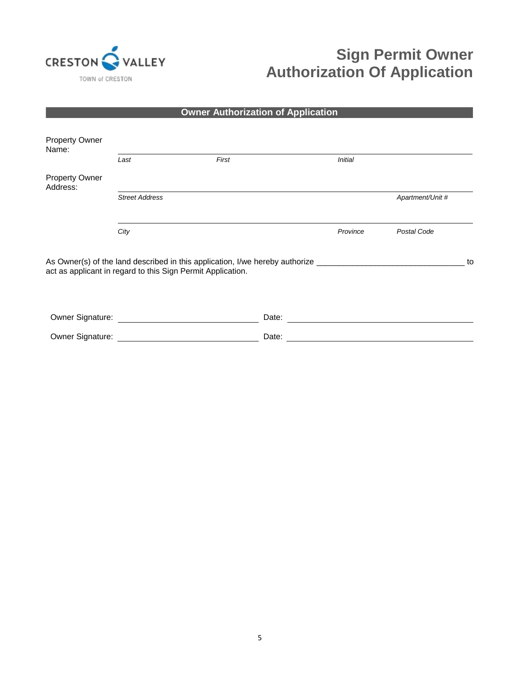

# **Sign Permit Owner Authorization Of Application**

### **Owner Authorization of Application**

| <b>Property Owner</b><br>Name:    |                                                             |                                                                                                     |                |                  |    |
|-----------------------------------|-------------------------------------------------------------|-----------------------------------------------------------------------------------------------------|----------------|------------------|----|
|                                   | Last                                                        | First                                                                                               | <b>Initial</b> |                  |    |
| <b>Property Owner</b><br>Address: |                                                             |                                                                                                     |                |                  |    |
|                                   | <b>Street Address</b>                                       |                                                                                                     |                | Apartment/Unit # |    |
|                                   | City                                                        |                                                                                                     | Province       | Postal Code      |    |
|                                   | act as applicant in regard to this Sign Permit Application. | As Owner(s) of the land described in this application, I/we hereby authorize ______________________ |                |                  | to |
| Owner Signature:                  |                                                             | Date:                                                                                               |                |                  |    |
| Owner Signature:                  |                                                             | Date:                                                                                               |                |                  |    |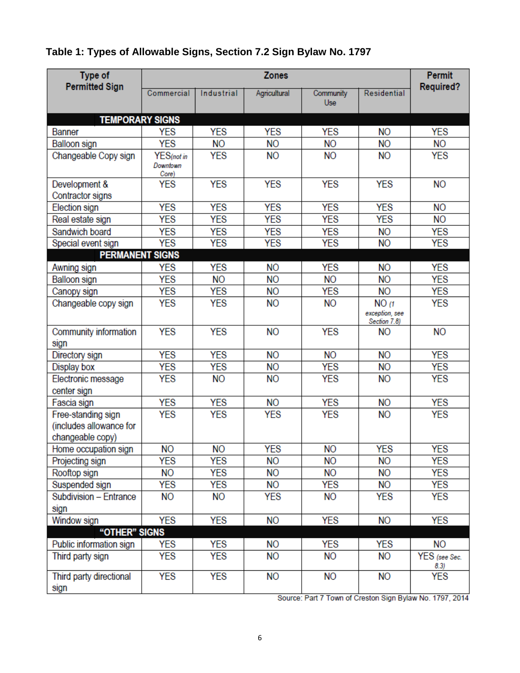### **Table 1: Types of Allowable Signs, Section 7.2 Sign Bylaw No. 1797**

| Type of                                                           | <b>Zones</b>                    |                |              |                  |                                         | <b>Permit</b>         |
|-------------------------------------------------------------------|---------------------------------|----------------|--------------|------------------|-----------------------------------------|-----------------------|
| <b>Permitted Sign</b>                                             | Commercial                      | Industrial     | Agricultural | Community<br>Use | Residential                             | <b>Required?</b>      |
| <b>TEMPORARY SIGNS</b>                                            |                                 |                |              |                  |                                         |                       |
| <b>Banner</b>                                                     | <b>YES</b>                      | <b>YES</b>     | YES          | YES              | <b>NO</b>                               | <b>YES</b>            |
| Balloon sign                                                      | <b>YES</b>                      | <b>NO</b>      | NO.          | <b>NO</b>        | <b>NO</b>                               | NΟ                    |
| Changeable Copy sign                                              | YES(not in<br>Downtown<br>Core) | <b>YES</b>     | <b>NO</b>    | <b>NO</b>        | <b>NO</b>                               | <b>YES</b>            |
| Development &<br>Contractor signs                                 | <b>YES</b>                      | <b>YES</b>     | <b>YES</b>   | <b>YES</b>       | <b>YES</b>                              | NΟ                    |
| Election sign                                                     | <b>YES</b>                      | <b>YES</b>     | <b>YES</b>   | <b>YES</b>       | <b>YES</b>                              | <b>NO</b>             |
| Real estate sign                                                  | <b>YES</b>                      | <b>YES</b>     | <b>YES</b>   | <b>YES</b>       | <b>YES</b>                              | <b>NO</b>             |
| Sandwich board                                                    | <b>YES</b>                      | <b>YES</b>     | <b>YES</b>   | <b>YES</b>       | <b>NO</b>                               | <b>YES</b>            |
| Special event sign                                                | <b>YES</b>                      | YES            | YES          | YES              | <b>NO</b>                               | <b>YES</b>            |
| <b>PERMANENT SIGNS</b>                                            |                                 |                |              |                  |                                         |                       |
| Awning sign                                                       | <b>YES</b>                      | <b>YES</b>     | <b>NO</b>    | <b>YES</b>       | <b>NO</b>                               | <b>YES</b>            |
| Balloon sign                                                      | <b>YES</b>                      | <b>NO</b>      | <b>NO</b>    | NΟ               | <b>NO</b>                               | <b>YES</b>            |
| Canopy sign                                                       | <b>YES</b>                      | <b>YES</b>     | <b>NO</b>    | <b>YES</b>       | <b>NO</b>                               | <b>YES</b>            |
| Changeable copy sign                                              | <b>YES</b>                      | <b>YES</b>     | <b>NO</b>    | <b>NO</b>        | NO(1)<br>exception, see<br>Section 7.8) | <b>YES</b>            |
| Community information<br>sign                                     | <b>YES</b>                      | <b>YES</b>     | <b>NO</b>    | <b>YES</b>       | <b>NO</b>                               | <b>NO</b>             |
| Directory sign                                                    | <b>YES</b>                      | <b>YES</b>     | <b>NO</b>    | <b>NO</b>        | <b>NO</b>                               | <b>YES</b>            |
| Display box                                                       | <b>YES</b>                      | <b>YES</b>     | <b>NO</b>    | <b>YES</b>       | <b>NO</b>                               | <b>YES</b>            |
| Electronic message<br>center sign                                 | <b>YES</b>                      | <b>NO</b>      | <b>NO</b>    | <b>YES</b>       | <b>NO</b>                               | <b>YES</b>            |
| Fascia sign                                                       | <b>YES</b>                      | <b>YES</b>     | <b>NO</b>    | <b>YES</b>       | <b>NO</b>                               | <b>YES</b>            |
| Free-standing sign<br>(includes allowance for<br>changeable copy) | <b>YES</b>                      | <b>YES</b>     | <b>YES</b>   | <b>YES</b>       | <b>NO</b>                               | <b>YES</b>            |
| Home occupation sign                                              | N <sub>O</sub>                  | N <sub>O</sub> | <b>YES</b>   | N <sub>O</sub>   | <b>YES</b>                              | <b>YES</b>            |
| Projecting sign                                                   | YES                             | YES            | NΟ           | NΟ               | <b>NO</b>                               | YES                   |
| Rooftop sign                                                      | NΟ                              | YES            | <b>NO</b>    | NΟ               | <b>NO</b>                               | YES                   |
| Suspended sign                                                    | <b>YES</b>                      | <b>YES</b>     | <b>NO</b>    | YES              | <b>NO</b>                               | <b>YES</b>            |
| Subdivision - Entrance<br>sign                                    | NΟ                              | NΟ             | YES          | NΟ               | YES                                     | YES                   |
| Window sign                                                       | <b>YES</b>                      | <b>YES</b>     | <b>NO</b>    | <b>YES</b>       | <b>NO</b>                               | <b>YES</b>            |
| "OTHER" SIGNS                                                     |                                 |                |              |                  |                                         |                       |
| Public information sign                                           | YES                             | <b>YES</b>     | NΟ           | YES              | <b>YES</b>                              | NΟ                    |
| Third party sign                                                  | <b>YES</b>                      | YES            | NΟ           | <b>NO</b>        | NО                                      | YES (see Sec.<br>8.3) |
| Third party directional<br>sign                                   | <b>YES</b>                      | YES            | <b>NO</b>    | NО               | <b>NO</b>                               | YES                   |

Source: Part 7 Town of Creston Sign Bylaw No. 1797, 2014